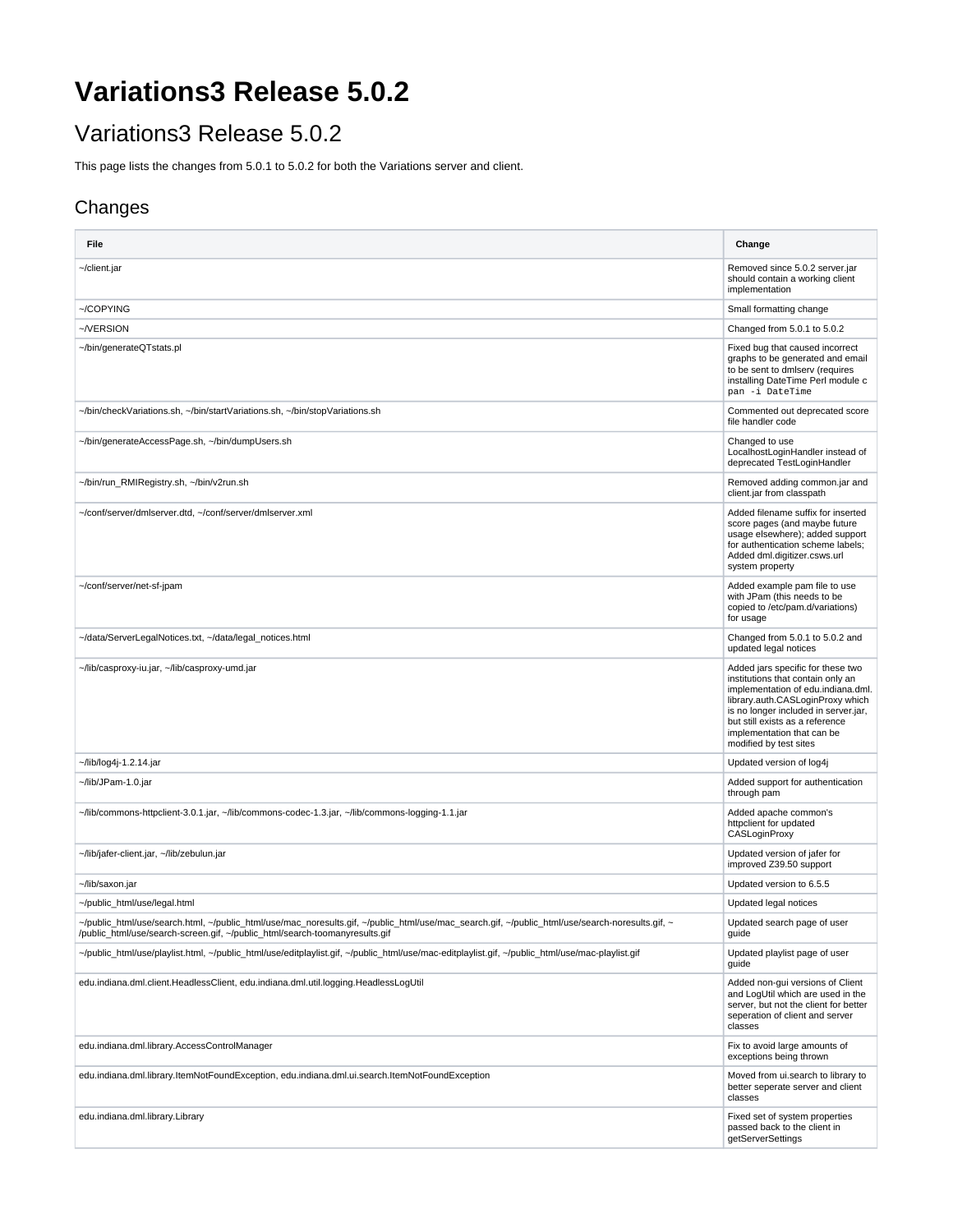## **Variations3 Release 5.0.2**

## Variations3 Release 5.0.2

This page lists the changes from 5.0.1 to 5.0.2 for both the Variations server and client.

## Changes

| File                                                                                                                                                                                                                           | Change                                                                                                                                                                                                                                                                              |
|--------------------------------------------------------------------------------------------------------------------------------------------------------------------------------------------------------------------------------|-------------------------------------------------------------------------------------------------------------------------------------------------------------------------------------------------------------------------------------------------------------------------------------|
| ~/client.jar                                                                                                                                                                                                                   | Removed since 5.0.2 server.jar<br>should contain a working client<br>implementation                                                                                                                                                                                                 |
| ~/COPYING                                                                                                                                                                                                                      | Small formatting change                                                                                                                                                                                                                                                             |
| ~/VERSION                                                                                                                                                                                                                      | Changed from 5.0.1 to 5.0.2                                                                                                                                                                                                                                                         |
| ~/bin/generateQTstats.pl                                                                                                                                                                                                       | Fixed bug that caused incorrect<br>graphs to be generated and email<br>to be sent to dmlserv (requires<br>installing DateTime Perl module c<br>pan -i DateTime                                                                                                                      |
| ~/bin/checkVariations.sh, ~/bin/startVariations.sh, ~/bin/stopVariations.sh                                                                                                                                                    | Commented out deprecated score<br>file handler code                                                                                                                                                                                                                                 |
| ~/bin/generateAccessPage.sh, ~/bin/dumpUsers.sh                                                                                                                                                                                | Changed to use<br>LocalhostLoginHandler instead of<br>deprecated TestLoginHandler                                                                                                                                                                                                   |
| ~/bin/run_RMIRegistry.sh, ~/bin/v2run.sh                                                                                                                                                                                       | Removed adding common.jar and<br>client.jar from classpath                                                                                                                                                                                                                          |
| ~/conf/server/dmlserver.dtd, ~/conf/server/dmlserver.xml                                                                                                                                                                       | Added filename suffix for inserted<br>score pages (and maybe future<br>usage elsewhere); added support<br>for authentication scheme labels;<br>Added dml.digitizer.csws.url<br>system property                                                                                      |
| ~/conf/server/net-sf-jpam                                                                                                                                                                                                      | Added example pam file to use<br>with JPam (this needs to be<br>copied to /etc/pam.d/variations)<br>for usage                                                                                                                                                                       |
| ~/data/ServerLegalNotices.txt, ~/data/legal_notices.html                                                                                                                                                                       | Changed from 5.0.1 to 5.0.2 and<br>updated legal notices                                                                                                                                                                                                                            |
| ~/lib/casproxy-iu.jar, ~/lib/casproxy-umd.jar                                                                                                                                                                                  | Added jars specific for these two<br>institutions that contain only an<br>implementation of edu.indiana.dml.<br>library.auth.CASLoginProxy which<br>is no longer included in server.jar,<br>but still exists as a reference<br>implementation that can be<br>modified by test sites |
| ~/lib/log4j-1.2.14.jar                                                                                                                                                                                                         | Updated version of log4j                                                                                                                                                                                                                                                            |
| ~/lib/JPam-1.0.jar                                                                                                                                                                                                             | Added support for authentication<br>through pam                                                                                                                                                                                                                                     |
| ~/lib/commons-httpclient-3.0.1.jar, ~/lib/commons-codec-1.3.jar, ~/lib/commons-logging-1.1.jar                                                                                                                                 | Added apache common's<br>httpclient for updated<br>CASLoginProxy                                                                                                                                                                                                                    |
| ~/lib/jafer-client.jar, ~/lib/zebulun.jar                                                                                                                                                                                      | Updated version of jafer for<br>improved Z39.50 support                                                                                                                                                                                                                             |
| ~/lib/saxon.jar                                                                                                                                                                                                                | Updated version to 6.5.5                                                                                                                                                                                                                                                            |
| ~/public_html/use/legal.html                                                                                                                                                                                                   | Updated legal notices                                                                                                                                                                                                                                                               |
| ~/public_html/use/search.html, ~/public_html/use/mac_noresults.gif, ~/public_html/use/mac_search.gif, ~/public_html/use/search-noresults.gif, ~<br>/public_html/use/search-screen.gif, ~/public_html/search-toomanyresults.gif | Updated search page of user<br>guide                                                                                                                                                                                                                                                |
| ~/public_html/use/playlist.html, ~/public_html/use/editplaylist.gif, ~/public_html/use/mac-editplaylist.gif, ~/public_html/use/mac-playlist.gif                                                                                | Updated playlist page of user<br>guide                                                                                                                                                                                                                                              |
| edu.indiana.dml.client.HeadlessClient, edu.indiana.dml.util.logging.HeadlessLogUtil                                                                                                                                            | Added non-gui versions of Client<br>and LogUtil which are used in the<br>server, but not the client for better<br>seperation of client and server<br>classes                                                                                                                        |
| edu.indiana.dml.library.AccessControlManager                                                                                                                                                                                   | Fix to avoid large amounts of<br>exceptions being thrown                                                                                                                                                                                                                            |
| edu.indiana.dml.library.ltemNotFoundException, edu.indiana.dml.ui.search.ltemNotFoundException                                                                                                                                 | Moved from ui.search to library to<br>better seperate server and client<br>classes                                                                                                                                                                                                  |
| edu.indiana.dml.library.Library                                                                                                                                                                                                | Fixed set of system properties<br>passed back to the client in<br>getServerSettings                                                                                                                                                                                                 |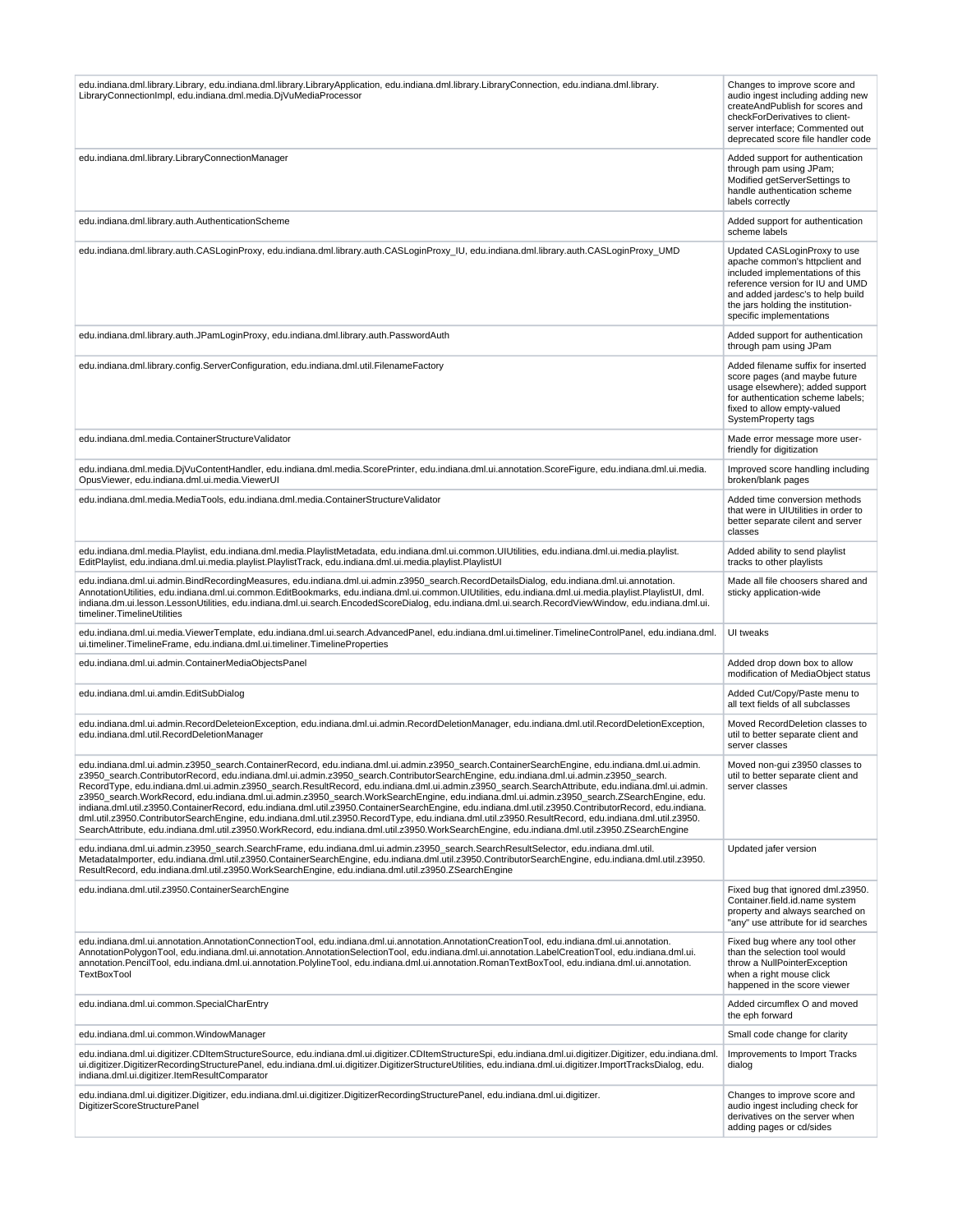| edu.indiana.dml.library.Library, edu.indiana.dml.library.LibraryApplication, edu.indiana.dml.library.LibraryConnection, edu.indiana.dml.library.<br>LibraryConnectionImpl, edu.indiana.dml.media.DjVuMediaProcessor                                                                                                                                                                                                                                                                                                                                                                                                                                                                                                                                                                                                                                                                                                                                                                                                                                      | Changes to improve score and<br>audio ingest including adding new<br>createAndPublish for scores and<br>checkForDerivatives to client-<br>server interface; Commented out<br>deprecated score file handler code                              |
|----------------------------------------------------------------------------------------------------------------------------------------------------------------------------------------------------------------------------------------------------------------------------------------------------------------------------------------------------------------------------------------------------------------------------------------------------------------------------------------------------------------------------------------------------------------------------------------------------------------------------------------------------------------------------------------------------------------------------------------------------------------------------------------------------------------------------------------------------------------------------------------------------------------------------------------------------------------------------------------------------------------------------------------------------------|----------------------------------------------------------------------------------------------------------------------------------------------------------------------------------------------------------------------------------------------|
| edu.indiana.dml.library.LibraryConnectionManager                                                                                                                                                                                                                                                                                                                                                                                                                                                                                                                                                                                                                                                                                                                                                                                                                                                                                                                                                                                                         | Added support for authentication<br>through pam using JPam;<br>Modified getServerSettings to<br>handle authentication scheme<br>labels correctly                                                                                             |
| edu.indiana.dml.library.auth.AuthenticationScheme                                                                                                                                                                                                                                                                                                                                                                                                                                                                                                                                                                                                                                                                                                                                                                                                                                                                                                                                                                                                        | Added support for authentication<br>scheme labels                                                                                                                                                                                            |
| edu.indiana.dml.library.auth.CASLoginProxy, edu.indiana.dml.library.auth.CASLoginProxy_IU, edu.indiana.dml.library.auth.CASLoginProxy_UMD                                                                                                                                                                                                                                                                                                                                                                                                                                                                                                                                                                                                                                                                                                                                                                                                                                                                                                                | Updated CASLoginProxy to use<br>apache common's httpclient and<br>included implementations of this<br>reference version for IU and UMD<br>and added jardesc's to help build<br>the jars holding the institution-<br>specific implementations |
| edu.indiana.dml.library.auth.JPamLoginProxy, edu.indiana.dml.library.auth.PasswordAuth                                                                                                                                                                                                                                                                                                                                                                                                                                                                                                                                                                                                                                                                                                                                                                                                                                                                                                                                                                   | Added support for authentication<br>through pam using JPam                                                                                                                                                                                   |
| edu.indiana.dml.library.config.ServerConfiguration, edu.indiana.dml.util.FilenameFactory                                                                                                                                                                                                                                                                                                                                                                                                                                                                                                                                                                                                                                                                                                                                                                                                                                                                                                                                                                 | Added filename suffix for inserted<br>score pages (and maybe future<br>usage elsewhere); added support<br>for authentication scheme labels;<br>fixed to allow empty-valued<br>SystemProperty tags                                            |
| edu.indiana.dml.media.ContainerStructureValidator                                                                                                                                                                                                                                                                                                                                                                                                                                                                                                                                                                                                                                                                                                                                                                                                                                                                                                                                                                                                        | Made error message more user-<br>friendly for digitization                                                                                                                                                                                   |
| edu.indiana.dml.media.DjVuContentHandler, edu.indiana.dml.media.ScorePrinter, edu.indiana.dml.ui.annotation.ScoreFigure, edu.indiana.dml.ui.media.<br>OpusViewer, edu.indiana.dml.ui.media.ViewerUI                                                                                                                                                                                                                                                                                                                                                                                                                                                                                                                                                                                                                                                                                                                                                                                                                                                      | Improved score handling including<br>broken/blank pages                                                                                                                                                                                      |
| edu.indiana.dml.media.MediaTools, edu.indiana.dml.media.ContainerStructureValidator                                                                                                                                                                                                                                                                                                                                                                                                                                                                                                                                                                                                                                                                                                                                                                                                                                                                                                                                                                      | Added time conversion methods<br>that were in UIUtilities in order to<br>better separate cilent and server<br>classes                                                                                                                        |
| edu.indiana.dml.media.Playlist, edu.indiana.dml.media.PlaylistMetadata, edu.indiana.dml.ui.common.UIUtilities, edu.indiana.dml.ui.media.playlist.<br>EditPlaylist, edu.indiana.dml.ui.media.playlist.PlaylistTrack, edu.indiana.dml.ui.media.playlist.PlaylistUl                                                                                                                                                                                                                                                                                                                                                                                                                                                                                                                                                                                                                                                                                                                                                                                         | Added ability to send playlist<br>tracks to other playlists                                                                                                                                                                                  |
| edu.indiana.dml.ui.admin.BindRecordingMeasures, edu.indiana.dml.ui.admin.z3950_search.RecordDetailsDialog, edu.indiana.dml.ui.annotation.<br>AnnotationUtilities, edu.indiana.dml.ui.common.EditBookmarks, edu.indiana.dml.ui.common.UIUtilities, edu.indiana.dml.ui.media.playlist.PlaylistUI, dml.<br>indiana.dm.ui.lesson.LessonUtilities, edu.indiana.dml.ui.search.EncodedScoreDialog, edu.indiana.dml.ui.search.RecordViewWindow, edu.indiana.dml.ui.<br>timeliner.TimelineUtilities                                                                                                                                                                                                                                                                                                                                                                                                                                                                                                                                                               | Made all file choosers shared and<br>sticky application-wide                                                                                                                                                                                 |
| edu.indiana.dml.ui.media.ViewerTemplate, edu.indiana.dml.ui.search.AdvancedPanel, edu.indiana.dml.ui.timeliner.TimelineControlPanel, edu.indiana.dml.<br>ui.timeliner.TimelineFrame, edu.indiana.dml.ui.timeliner.TimelineProperties                                                                                                                                                                                                                                                                                                                                                                                                                                                                                                                                                                                                                                                                                                                                                                                                                     | UI tweaks                                                                                                                                                                                                                                    |
| edu.indiana.dml.ui.admin.ContainerMediaObjectsPanel                                                                                                                                                                                                                                                                                                                                                                                                                                                                                                                                                                                                                                                                                                                                                                                                                                                                                                                                                                                                      | Added drop down box to allow<br>modification of MediaObject status                                                                                                                                                                           |
| edu.indiana.dml.ui.amdin.EditSubDialog                                                                                                                                                                                                                                                                                                                                                                                                                                                                                                                                                                                                                                                                                                                                                                                                                                                                                                                                                                                                                   | Added Cut/Copy/Paste menu to<br>all text fields of all subclasses                                                                                                                                                                            |
| edu.indiana.dml.ui.admin.RecordDeleteionException, edu.indiana.dml.ui.admin.RecordDeletionManager, edu.indiana.dml.util.RecordDeletionException,<br>edu.indiana.dml.util.RecordDeletionManager                                                                                                                                                                                                                                                                                                                                                                                                                                                                                                                                                                                                                                                                                                                                                                                                                                                           | Moved RecordDeletion classes to<br>util to better separate client and<br>server classes                                                                                                                                                      |
| edu.indiana.dml.ui.admin.z3950_search.ContainerRecord, edu.indiana.dml.ui.admin.z3950_search.ContainerSearchEngine, edu.indiana.dml.ui.admin.<br>z3950_search.ContributorRecord, edu.indiana.dml.ui.admin.z3950_search.ContributorSearchEngine, edu.indiana.dml.ui.admin.z3950_search.<br>RecordType, edu.indiana.dml.ui.admin.z3950_search.ResultRecord, edu.indiana.dml.ui.admin.z3950_search.SearchAttribute, edu.indiana.dml.ui.admin.<br>z3950_search.WorkRecord, edu.indiana.dml.ui.admin.z3950_search.WorkSearchEngine, edu.indiana.dml.ui.admin.z3950_search.ZSearchEngine, edu.<br>indiana.dml.util.z3950.ContainerRecord, edu.indiana.dml.util.z3950.ContainerSearchEngine, edu.indiana.dml.util.z3950.ContributorRecord, edu.indiana.<br>dml.util.z3950.ContributorSearchEngine, edu.indiana.dml.util.z3950.RecordType, edu.indiana.dml.util.z3950.ResultRecord, edu.indiana.dml.util.z3950.<br>SearchAttribute, edu.indiana.dml.util.z3950.WorkRecord, edu.indiana.dml.util.z3950.WorkSearchEngine, edu.indiana.dml.util.z3950.ZSearchEngine | Moved non-qui z3950 classes to<br>util to better separate client and<br>server classes                                                                                                                                                       |
| edu.indiana.dml.ui.admin.z3950 search.SearchFrame, edu.indiana.dml.ui.admin.z3950 search.SearchResultSelector, edu.indiana.dml.util.<br>Metadatalmporter, edu.indiana.dml.util.z3950.ContainerSearchEngine, edu.indiana.dml.util.z3950.ContributorSearchEngine, edu.indiana.dml.util.z3950.<br>ResultRecord, edu.indiana.dml.util.z3950.WorkSearchEngine, edu.indiana.dml.util.z3950.ZSearchEngine                                                                                                                                                                                                                                                                                                                                                                                                                                                                                                                                                                                                                                                       | Updated jafer version                                                                                                                                                                                                                        |
| edu.indiana.dml.util.z3950.ContainerSearchEngine                                                                                                                                                                                                                                                                                                                                                                                                                                                                                                                                                                                                                                                                                                                                                                                                                                                                                                                                                                                                         | Fixed bug that ignored dml.z3950.<br>Container.field.id.name system<br>property and always searched on<br>"any" use attribute for id searches                                                                                                |
| edu.indiana.dml.ui.annotation.AnnotationConnectionTool, edu.indiana.dml.ui.annotation.AnnotationCreationTool, edu.indiana.dml.ui.annotation.<br>AnnotationPolygonTool, edu.indiana.dml.ui.annotation.AnnotationSelectionTool, edu.indiana.dml.ui.annotation.LabelCreationTool, edu.indiana.dml.ui.<br>annotation.PencilTool, edu.indiana.dml.ui.annotation.PolylineTool, edu.indiana.dml.ui.annotation.RomanTextBoxTool, edu.indiana.dml.ui.annotation.<br>TextBoxTool                                                                                                                                                                                                                                                                                                                                                                                                                                                                                                                                                                                   | Fixed bug where any tool other<br>than the selection tool would<br>throw a NullPointerException<br>when a right mouse click<br>happened in the score viewer                                                                                  |
| edu.indiana.dml.ui.common.SpecialCharEntry                                                                                                                                                                                                                                                                                                                                                                                                                                                                                                                                                                                                                                                                                                                                                                                                                                                                                                                                                                                                               | Added circumflex O and moved<br>the eph forward                                                                                                                                                                                              |
| edu.indiana.dml.ui.common.WindowManager                                                                                                                                                                                                                                                                                                                                                                                                                                                                                                                                                                                                                                                                                                                                                                                                                                                                                                                                                                                                                  | Small code change for clarity                                                                                                                                                                                                                |
| edu.indiana.dml.ui.digitizer.CDItemStructureSource, edu.indiana.dml.ui.digitizer.CDItemStructureSpi, edu.indiana.dml.ui.digitizer.Digitizer, edu.indiana.dml.<br>ui.digitizer.DigitizerRecordingStructurePanel, edu.indiana.dml.ui.digitizer.DigitizerStructureUtilities, edu.indiana.dml.ui.digitizer.ImportTracksDialog, edu.<br>indiana.dml.ui.digitizer.ltemResultComparator                                                                                                                                                                                                                                                                                                                                                                                                                                                                                                                                                                                                                                                                         | Improvements to Import Tracks<br>dialog                                                                                                                                                                                                      |
| edu.indiana.dml.ui.digitizer.Digitizer, edu.indiana.dml.ui.digitizer.DigitizerRecordingStructurePanel, edu.indiana.dml.ui.digitizer.<br>DigitizerScoreStructurePanel                                                                                                                                                                                                                                                                                                                                                                                                                                                                                                                                                                                                                                                                                                                                                                                                                                                                                     | Changes to improve score and<br>audio ingest including check for<br>derivatives on the server when<br>adding pages or cd/sides                                                                                                               |